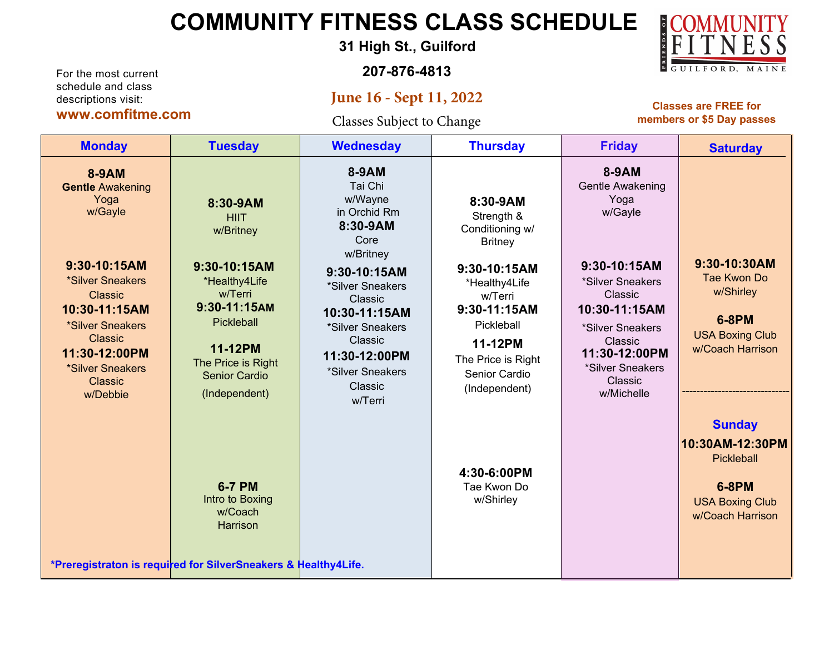## **COMMUNITY FITNESS CLASS SCHEDULE**

**31 High St., Guilford**

**207-876-4813**

## **June 16 - Sept 11, 2022**

Classes Subject to Change

**Classes are FREE for members or \$5 Day passes**

| <b>Monday</b>                                                                                                                                                                                                                              | <b>Tuesday</b>                                                                                                                                                                                  | <b>Wednesday</b>                                                                                                                                                                                                                       | <b>Thursday</b>                                                                                                                                                                                                 | <b>Friday</b>                                                                                                                                                                                                    | <b>Saturday</b>                                                                                              |
|--------------------------------------------------------------------------------------------------------------------------------------------------------------------------------------------------------------------------------------------|-------------------------------------------------------------------------------------------------------------------------------------------------------------------------------------------------|----------------------------------------------------------------------------------------------------------------------------------------------------------------------------------------------------------------------------------------|-----------------------------------------------------------------------------------------------------------------------------------------------------------------------------------------------------------------|------------------------------------------------------------------------------------------------------------------------------------------------------------------------------------------------------------------|--------------------------------------------------------------------------------------------------------------|
| <b>8-9AM</b><br><b>Gentle Awakening</b><br>Yoga<br>w/Gayle<br>9:30-10:15AM<br>*Silver Sneakers<br><b>Classic</b><br>10:30-11:15AM<br>*Silver Sneakers<br><b>Classic</b><br>11:30-12:00PM<br>*Silver Sneakers<br><b>Classic</b><br>w/Debbie | 8:30-9AM<br><b>HIIT</b><br>w/Britney<br>9:30-10:15AM<br>*Healthy4Life<br>w/Terri<br>9:30-11:15AM<br><b>Pickleball</b><br>11-12PM<br>The Price is Right<br><b>Senior Cardio</b><br>(Independent) | 8-9AM<br>Tai Chi<br>w/Wayne<br>in Orchid Rm<br>8:30-9AM<br>Core<br>w/Britney<br>9:30-10:15AM<br>*Silver Sneakers<br>Classic<br>10:30-11:15AM<br>*Silver Sneakers<br>Classic<br>11:30-12:00PM<br>*Silver Sneakers<br>Classic<br>w/Terri | 8:30-9AM<br>Strength &<br>Conditioning w/<br><b>Britney</b><br>9:30-10:15AM<br>*Healthy4Life<br>w/Terri<br>9:30-11:15AM<br>Pickleball<br>11-12PM<br>The Price is Right<br><b>Senior Cardio</b><br>(Independent) | 8-9AM<br><b>Gentle Awakening</b><br>Yoga<br>w/Gayle<br>9:30-10:15AM<br>*Silver Sneakers<br>Classic<br>10:30-11:15AM<br>*Silver Sneakers<br>Classic<br>11:30-12:00PM<br>*Silver Sneakers<br>Classic<br>w/Michelle | 9:30-10:30AM<br>Tae Kwon Do<br>w/Shirley<br><b>6-8PM</b><br><b>USA Boxing Club</b><br>w/Coach Harrison       |
|                                                                                                                                                                                                                                            | <b>6-7 PM</b><br>Intro to Boxing<br>w/Coach<br><b>Harrison</b><br>*Preregistraton is required for SilverSneakers & Healthy4Life.                                                                |                                                                                                                                                                                                                                        | 4:30-6:00PM<br>Tae Kwon Do<br>w/Shirley                                                                                                                                                                         |                                                                                                                                                                                                                  | <b>Sunday</b><br>10:30AM-12:30PM<br>Pickleball<br><b>6-8PM</b><br><b>USA Boxing Club</b><br>w/Coach Harrison |



descriptions visit: **www.comfitme.com**

For the most current schedule and class